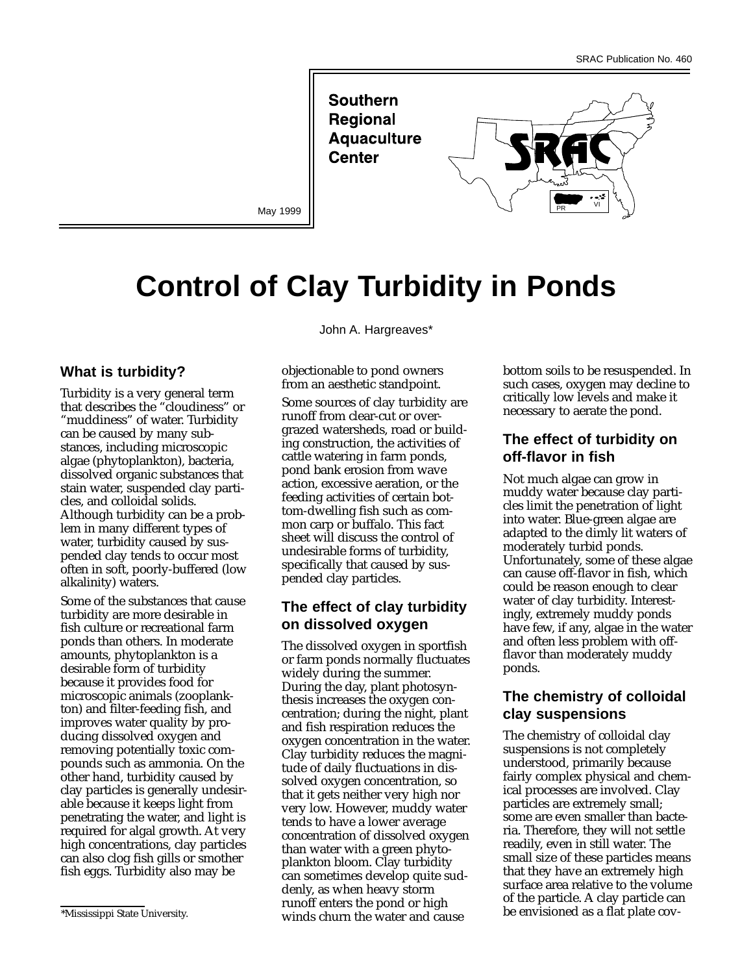**Southern Regional Aquaculture Center** 



May 1999

# **Control of Clay Turbidity in Ponds**

### **What is turbidity?**

Turbidity is a very general term that describes the "cloudiness" or "muddiness" of water. Turbidity can be caused by many substances, including microscopic algae (phytoplankton), bacteria, dissolved organic substances that stain water, suspended clay particles, and colloidal solids. Although turbidity can be a problem in many different types of water, turbidity caused by suspended clay tends to occur most often in soft, poorly-buffered (low alkalinity) waters.

Some of the substances that cause turbidity are more desirable in fish culture or recreational farm ponds than others. In moderate amounts, phytoplankton is a desirable form of turbidity because it provides food for microscopic animals (zooplankton) and filter-feeding fish, and improves water quality by producing dissolved oxygen and removing potentially toxic compounds such as ammonia. On the other hand, turbidity caused by clay particles is generally undesirable because it keeps light from penetrating the water, and light is required for algal growth. At very high concentrations, clay particles can also clog fish gills or smother fish eggs. Turbidity also may be

John A. Hargreaves\*

objectionable to pond owners from an aesthetic standpoint.

Some sources of clay turbidity are runoff from clear-cut or overgrazed watersheds, road or building construction, the activities of cattle watering in farm ponds, pond bank erosion from wave action, excessive aeration, or the feeding activities of certain bottom-dwelling fish such as common carp or buffalo. This fact sheet will discuss the control of undesirable forms of turbidity, specifically that caused by suspended clay particles.

## **The effect of clay turbidity on dissolved oxygen**

The dissolved oxygen in sportfish or farm ponds normally fluctuates widely during the summer. During the day, plant photosynthesis increases the oxygen concentration; during the night, plant and fish respiration reduces the oxygen concentration in the water. Clay turbidity reduces the magnitude of daily fluctuations in dissolved oxygen concentration, so that it gets neither very high nor very low. However, muddy water tends to have a lower average concentration of dissolved oxygen than water with a green phytoplankton bloom. Clay turbidity can sometimes develop quite suddenly, as when heavy storm runoff enters the pond or high winds churn the water and cause

bottom soils to be resuspended. In such cases, oxygen may decline to critically low levels and make it necessary to aerate the pond.

## **The effect of turbidity on off-flavor in fish**

Not much algae can grow in muddy water because clay particles limit the penetration of light into water. Blue-green algae are adapted to the dimly lit waters of moderately turbid ponds. Unfortunately, some of these algae can cause off-flavor in fish, which could be reason enough to clear water of clay turbidity. Interestingly, extremely muddy ponds have few, if any, algae in the water and often less problem with offflavor than moderately muddy ponds.

## **The chemistry of colloidal clay suspensions**

The chemistry of colloidal clay suspensions is not completely understood, primarily because fairly complex physical and chemical processes are involved. Clay particles are extremely small; some are even smaller than bacteria. Therefore, they will not settle readily, even in still water. The small size of these particles means that they have an extremely high surface area relative to the volume of the particle. A clay particle can be envisioned as a flat plate cov-

<sup>\*</sup>Mississippi State University.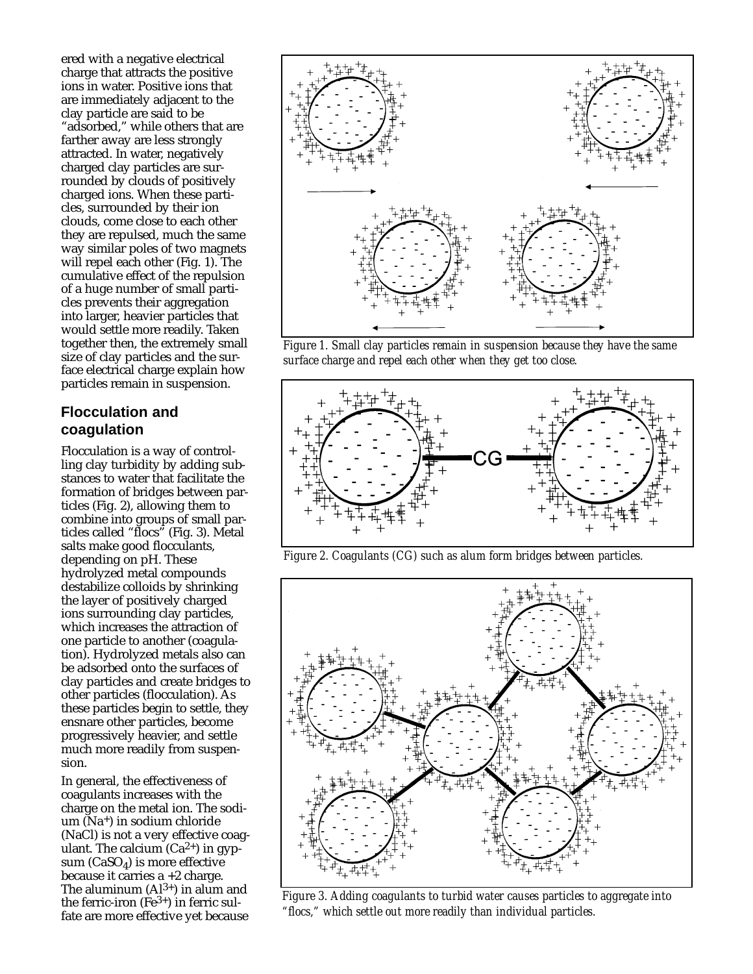ered with a negative electrical charge that attracts the positive ions in water. Positive ions that are immediately adjacent to the clay particle are said to be "adsorbed," while others that are farther away are less strongly attracted. In water, negatively charged clay particles are surrounded by clouds of positively charged ions. When these particles, surrounded by their ion clouds, come close to each other they are repulsed, much the same way similar poles of two magnets will repel each other (Fig. 1). The cumulative effect of the repulsion of a huge number of small particles prevents their aggregation into larger, heavier particles that would settle more readily. Taken together then, the extremely small size of clay particles and the surface electrical charge explain how particles remain in suspension.

## **Flocculation and coagulation**

Flocculation is a way of controlling clay turbidity by adding substances to water that facilitate the formation of bridges between particles (Fig. 2), allowing them to combine into groups of small particles called "flocs" (Fig. 3). Metal salts make good flocculants, depending on pH. These hydrolyzed metal compounds destabilize colloids by shrinking the layer of positively charged ions surrounding clay particles, which increases the attraction of one particle to another (coagulation). Hydrolyzed metals also can be adsorbed onto the surfaces of clay particles and create bridges to other particles (flocculation). As these particles begin to settle, they ensnare other particles, become progressively heavier, and settle much more readily from suspension.

In general, the effectiveness of coagulants increases with the charge on the metal ion. The sodium  $(Na<sup>+</sup>)$  in sodium chloride (NaCl) is not a very effective coagulant. The calcium  $(Ca^{2+})$  in gypsum  $(CaSO<sub>4</sub>)$  is more effective because it carries  $a + 2$  charge. The aluminum  $(A1^{3+})$  in alum and the ferric-iron  $(Fe^{3+})$  in ferric sulfate are more effective yet because



*Figure 1. Small clay particles remain in suspension because they have the same surface charge and repel each other when they get too close.*



*Figure 2. Coagulants (CG) such as alum form bridges between particles.*



*Figure 3. Adding coagulants to turbid water causes particles to aggregate into "flocs," which settle out more readily than individual particles.*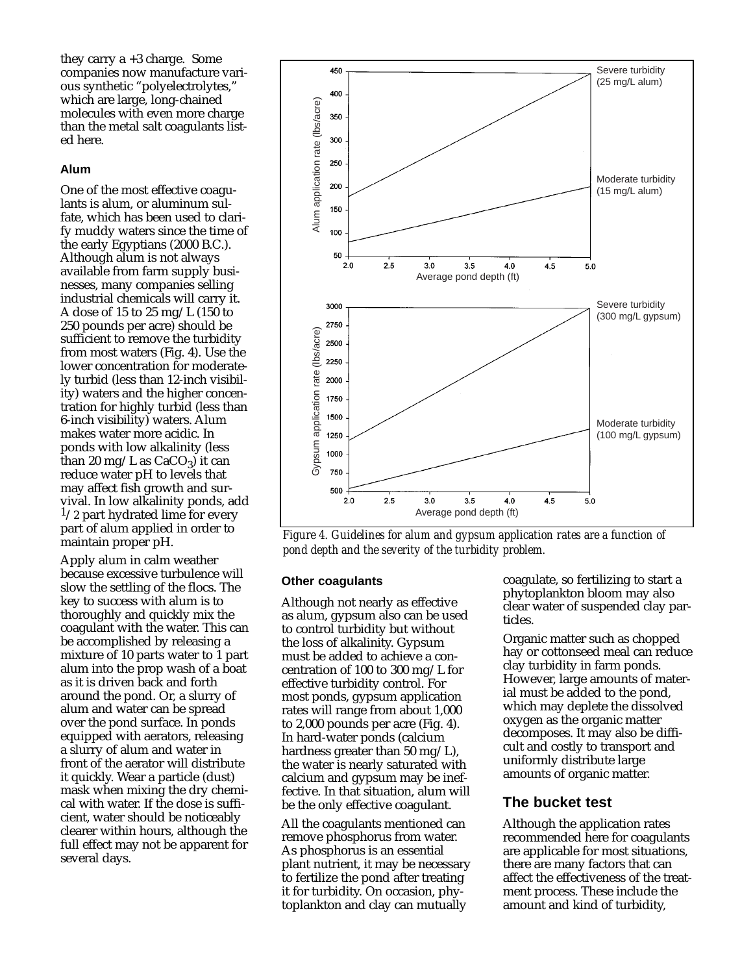they carry a +3 charge. Some companies now manufacture various synthetic "polyelectrolytes," which are large, long-chained molecules with even more charge than the metal salt coagulants listed here.

#### **Alum**

One of the most effective coagulants is alum, or aluminum sulfate, which has been used to clarify muddy waters since the time of the early Egyptians (2000 B.C.). Although alum is not always available from farm supply businesses, many companies selling industrial chemicals will carry it. A dose of 15 to 25 mg/L (150 to 250 pounds per acre) should be sufficient to remove the turbidity from most waters (Fig. 4). Use the lower concentration for moderately turbid (less than 12-inch visibility) waters and the higher concentration for highly turbid (less than 6-inch visibility) waters. Alum makes water more acidic. In ponds with low alkalinity (less than 20 mg/L as  $CaCO<sub>3</sub>$ ) it can reduce water pH to levels that may affect fish growth and survival. In low alkalinity ponds, add  $1/2$  part hydrated lime for every part of alum applied in order to maintain proper pH.

Apply alum in calm weather because excessive turbulence will slow the settling of the flocs. The key to success with alum is to thoroughly and quickly mix the coagulant with the water. This can be accomplished by releasing a mixture of 10 parts water to 1 part alum into the prop wash of a boat as it is driven back and forth around the pond. Or, a slurry of alum and water can be spread over the pond surface. In ponds equipped with aerators, releasing a slurry of alum and water in front of the aerator will distribute it quickly. Wear a particle (dust) mask when mixing the dry chemical with water. If the dose is sufficient, water should be noticeably clearer within hours, although the full effect may not be apparent for several days.



*Figure 4. Guidelines for alum and gypsum application rates are a function of pond depth and the severity of the turbidity problem.*

#### **Other coagulants**

Although not nearly as effective as alum, gypsum also can be used to control turbidity but without the loss of alkalinity. Gypsum must be added to achieve a concentration of 100 to 300 mg/L for effective turbidity control. For most ponds, gypsum application rates will range from about 1,000 to 2,000 pounds per acre (Fig. 4). In hard-water ponds (calcium hardness greater than 50 mg/L), the water is nearly saturated with calcium and gypsum may be ineffective. In that situation, alum will be the only effective coagulant.

All the coagulants mentioned can remove phosphorus from water. As phosphorus is an essential plant nutrient, it may be necessary to fertilize the pond after treating it for turbidity. On occasion, phytoplankton and clay can mutually

coagulate, so fertilizing to start a phytoplankton bloom may also clear water of suspended clay particles.

Organic matter such as chopped hay or cottonseed meal can reduce clay turbidity in farm ponds. However, large amounts of material must be added to the pond, which may deplete the dissolved oxygen as the organic matter decomposes. It may also be difficult and costly to transport and uniformly distribute large amounts of organic matter.

#### **The bucket test**

Although the application rates recommended here for coagulants are applicable for most situations, there are many factors that can affect the effectiveness of the treatment process. These include the amount and kind of turbidity,